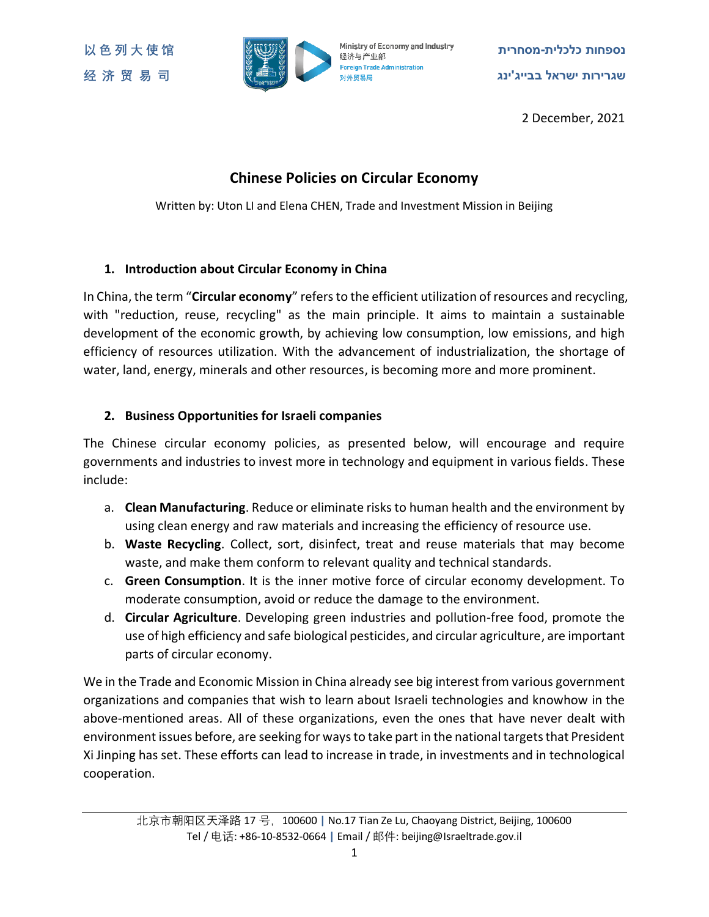

**以 色 列 大 使 馆 מסחרית-כלכלית נספחות 经 济 贸 易 司 ינג'בבייג ישראל שגרירות**

2 December, 2021

# **Chinese Policies on Circular Economy**

Written by: Uton LI and Elena CHEN, Trade and Investment Mission in Beijing

### **1. Introduction about Circular Economy in China**

In China, the term "**Circular economy**" refers to the efficient utilization of resources and recycling, with "reduction, reuse, recycling" as the main principle. It aims to maintain a sustainable development of the economic growth, by achieving low consumption, low emissions, and high efficiency of resources utilization. With the advancement of industrialization, the shortage of water, land, energy, minerals and other resources, is becoming more and more prominent.

## **2. Business Opportunities for Israeli companies**

The Chinese circular economy policies, as presented below, will encourage and require governments and industries to invest more in technology and equipment in various fields. These include:

- a. **Clean Manufacturing**. Reduce or eliminate risks to human health and the environment by using clean energy and raw materials and increasing the efficiency of resource use.
- b. **Waste Recycling**. Collect, sort, disinfect, treat and reuse materials that may become waste, and make them conform to relevant quality and technical standards.
- c. **Green Consumption**. It is the inner motive force of circular economy development. To moderate consumption, avoid or reduce the damage to the environment.
- d. **Circular Agriculture**. Developing green industries and pollution-free food, promote the use of high efficiency and safe biological pesticides, and circular agriculture, are important parts of circular economy.

We in the Trade and Economic Mission in China already see big interest from various government organizations and companies that wish to learn about Israeli technologies and knowhow in the above-mentioned areas. All of these organizations, even the ones that have never dealt with environment issues before, are seeking for ways to take part in the national targets that President Xi Jinping has set. These efforts can lead to increase in trade, in investments and in technological cooperation.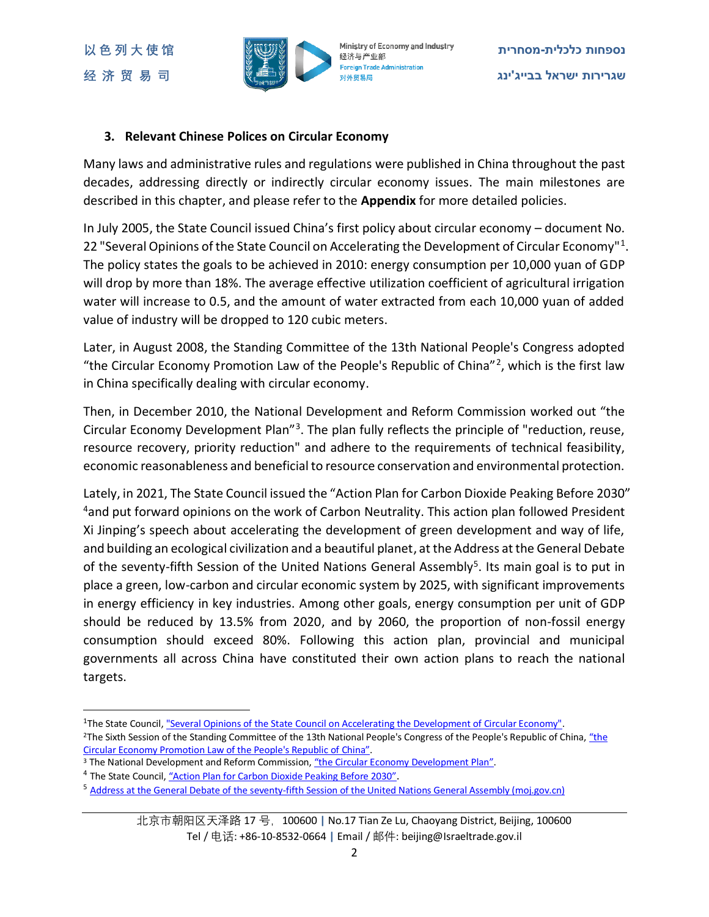

### **3. Relevant Chinese Polices on Circular Economy**

Many laws and administrative rules and regulations were published in China throughout the past decades, addressing directly or indirectly circular economy issues. The main milestones are described in this chapter, and please refer to the **Appendix** for more detailed policies.

In July 2005, the State Council issued China's first policy about circular economy – document No. 22 "Several Opinions of the State Council on Accelerating the Development of Circular Economy"<sup>1</sup>. The policy states the goals to be achieved in 2010: energy consumption per 10,000 yuan of GDP will drop by more than 18%. The average effective utilization coefficient of agricultural irrigation water will increase to 0.5, and the amount of water extracted from each 10,000 yuan of added value of industry will be dropped to 120 cubic meters.

Later, in August 2008, the Standing Committee of the 13th National People's Congress adopted "the Circular Economy Promotion Law of the People's Republic of China"<sup>2</sup>, which is the first law in China specifically dealing with circular economy.

Then, in December 2010, the National Development and Reform Commission worked out "the Circular Economy Development Plan<sup>"3</sup>. The plan fully reflects the principle of "reduction, reuse, resource recovery, priority reduction" and adhere to the requirements of technical feasibility, economic reasonableness and beneficial to resource conservation and environmental protection.

Lately, in 2021, The State Council issued the "Action Plan for Carbon Dioxide Peaking Before 2030" <sup>4</sup> and put forward opinions on the work of Carbon Neutrality. This action plan followed President Xi Jinping's speech about accelerating the development of green development and way of life, and building an ecological civilization and a beautiful planet, at the Address at the General Debate of the seventy-fifth Session of the United Nations General Assembly<sup>5</sup>. Its main goal is to put in place a green, low-carbon and circular economic system by 2025, with significant improvements in energy efficiency in key industries. Among other goals, energy consumption per unit of GDP should be reduced by 13.5% from 2020, and by 2060, the proportion of non-fossil energy consumption should exceed 80%. Following this action plan, provincial and municipal governments all across China have constituted their own action plans to reach the national targets.

 $\overline{a}$ 

<sup>&</sup>lt;sup>1</sup>The State Council, <u>"Several Opinions of the State Council on Accelerating the Development of Circular Economy"</u>.

<sup>&</sup>lt;sup>2</sup>The Sixth Session of the Standing Committee of the 13th National People's Congress of the People's Republic of China, "the [Circular Economy Promotion Law of the People's Republic](http://www.gov.cn/zhengce/content/2008-03/28/content_2047.htm) of China".

<sup>&</sup>lt;sup>3</sup> The National Development and Reform Commission, ["the Circular Economy Development Plan"](https://www.ndrc.gov.cn/fggz/hjyzy/fzxhjj/201101/W020191114579121851973.pdf).

<sup>&</sup>lt;sup>4</sup> The State Council, ["Action Plan for Carbon Dioxide Peaking Before 2030"](http://www.gov.cn/zhengce/content/2021-10/26/content_5644984.htm).

<sup>&</sup>lt;sup>5</sup> [Address at the General Debate of the seventy-fifth Session of the United Nations General Assembly \(moj.gov.cn\)](http://www.moj.gov.cn/news/content/2020-09/23/xxtt_3256903.html)

北京市朝阳区天泽路 17 号,100600 **|** No.17 Tian Ze Lu, Chaoyang District, Beijing, 100600 Tel / 电话: +86-10-8532-0664 **|** Email / 邮件: beijing@Israeltrade.gov.il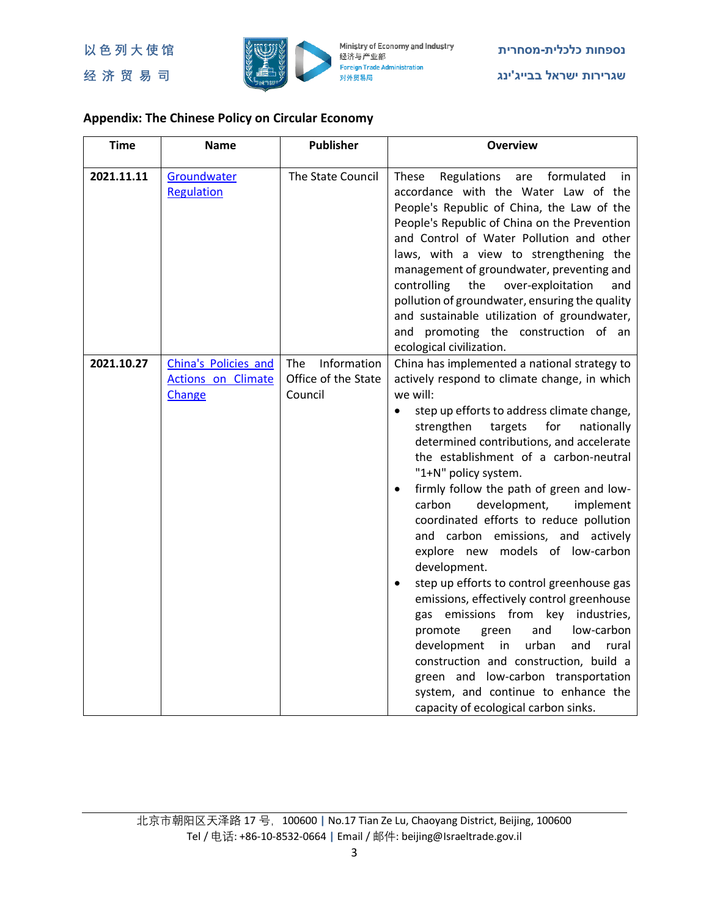

# **Appendix: The Chinese Policy on Circular Economy**

| <b>Time</b> | <b>Name</b>                                                 | <b>Publisher</b>                                            | <b>Overview</b>                                                                                                                                                                                                                                                                                                                                                                                                                                                                                                                                                                                                                                                                                                                                                                                                                                                                                                                               |
|-------------|-------------------------------------------------------------|-------------------------------------------------------------|-----------------------------------------------------------------------------------------------------------------------------------------------------------------------------------------------------------------------------------------------------------------------------------------------------------------------------------------------------------------------------------------------------------------------------------------------------------------------------------------------------------------------------------------------------------------------------------------------------------------------------------------------------------------------------------------------------------------------------------------------------------------------------------------------------------------------------------------------------------------------------------------------------------------------------------------------|
| 2021.11.11  | Groundwater<br><b>Regulation</b>                            | The State Council                                           | Regulations<br>These<br>formulated<br>are<br>in<br>accordance with the Water Law of the<br>People's Republic of China, the Law of the<br>People's Republic of China on the Prevention<br>and Control of Water Pollution and other<br>laws, with a view to strengthening the<br>management of groundwater, preventing and<br>controlling<br>the<br>over-exploitation<br>and<br>pollution of groundwater, ensuring the quality<br>and sustainable utilization of groundwater,<br>and promoting the construction of an<br>ecological civilization.                                                                                                                                                                                                                                                                                                                                                                                               |
| 2021.10.27  | China's Policies and<br><b>Actions on Climate</b><br>Change | Information<br><b>The</b><br>Office of the State<br>Council | China has implemented a national strategy to<br>actively respond to climate change, in which<br>we will:<br>step up efforts to address climate change,<br>$\bullet$<br>for<br>strengthen<br>targets<br>nationally<br>determined contributions, and accelerate<br>the establishment of a carbon-neutral<br>"1+N" policy system.<br>firmly follow the path of green and low-<br>carbon<br>development,<br>implement<br>coordinated efforts to reduce pollution<br>and carbon emissions, and actively<br>explore new models of low-carbon<br>development.<br>step up efforts to control greenhouse gas<br>emissions, effectively control greenhouse<br>gas emissions from key industries,<br>and<br>low-carbon<br>promote<br>green<br>development<br>urban<br>in<br>and<br>rural<br>construction and construction, build a<br>green and low-carbon transportation<br>system, and continue to enhance the<br>capacity of ecological carbon sinks. |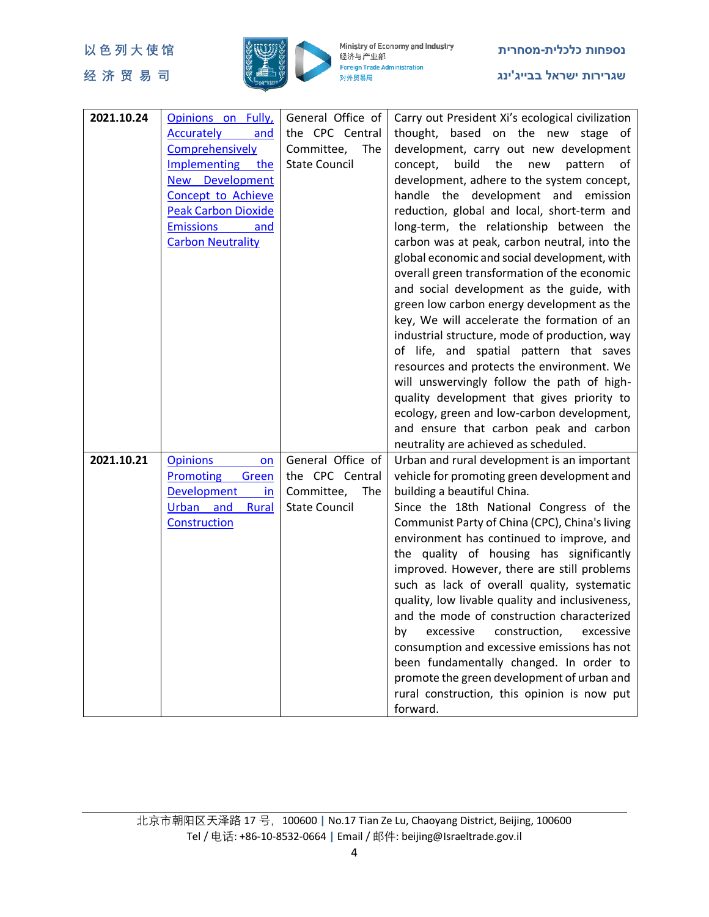

| 2021.10.24 | Opinions on Fully,<br><b>Accurately</b><br>and<br>Comprehensively<br>Implementing the<br>New Development<br>Concept to Achieve<br><b>Peak Carbon Dioxide</b><br><b>Emissions</b><br>and<br><b>Carbon Neutrality</b> | General Office of<br>the CPC Central<br>Committee,<br>The<br><b>State Council</b> | Carry out President Xi's ecological civilization<br>thought,<br>based on the new stage of<br>development, carry out new development<br>build<br>the<br>concept,<br>new<br>pattern<br>of<br>development, adhere to the system concept,<br>handle the development and emission<br>reduction, global and local, short-term and<br>long-term, the relationship between the<br>carbon was at peak, carbon neutral, into the<br>global economic and social development, with<br>overall green transformation of the economic<br>and social development as the guide, with<br>green low carbon energy development as the<br>key, We will accelerate the formation of an<br>industrial structure, mode of production, way<br>of life, and spatial pattern that saves<br>resources and protects the environment. We<br>will unswervingly follow the path of high-<br>quality development that gives priority to<br>ecology, green and low-carbon development,<br>and ensure that carbon peak and carbon<br>neutrality are achieved as scheduled. |
|------------|---------------------------------------------------------------------------------------------------------------------------------------------------------------------------------------------------------------------|-----------------------------------------------------------------------------------|-----------------------------------------------------------------------------------------------------------------------------------------------------------------------------------------------------------------------------------------------------------------------------------------------------------------------------------------------------------------------------------------------------------------------------------------------------------------------------------------------------------------------------------------------------------------------------------------------------------------------------------------------------------------------------------------------------------------------------------------------------------------------------------------------------------------------------------------------------------------------------------------------------------------------------------------------------------------------------------------------------------------------------------------|
| 2021.10.21 | <b>Opinions</b><br>on<br><b>Promoting</b><br>Green<br><b>Development</b><br>in<br><b>Urban</b><br>and<br><b>Rural</b><br>Construction                                                                               | General Office of<br>the CPC Central<br>Committee,<br>The<br><b>State Council</b> | Urban and rural development is an important<br>vehicle for promoting green development and<br>building a beautiful China.<br>Since the 18th National Congress of the<br>Communist Party of China (CPC), China's living<br>environment has continued to improve, and<br>the quality of housing has significantly<br>improved. However, there are still problems<br>such as lack of overall quality, systematic<br>quality, low livable quality and inclusiveness,<br>and the mode of construction characterized<br>excessive<br>by<br>construction,<br>excessive<br>consumption and excessive emissions has not<br>been fundamentally changed. In order to<br>promote the green development of urban and<br>rural construction, this opinion is now put<br>forward.                                                                                                                                                                                                                                                                      |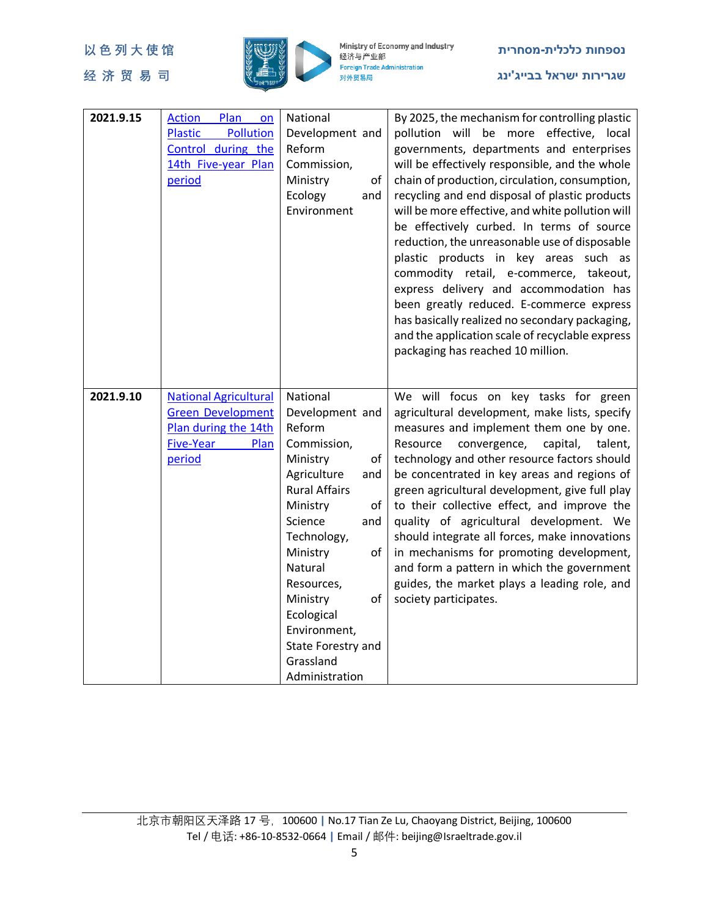

| 2021.9.15 | <b>Action</b><br>Plan<br>on<br>Pollution<br><b>Plastic</b><br>Control during the<br>14th Five-year Plan<br>period | National<br>Development and<br>Reform<br>Commission,<br>Ministry<br>of<br>Ecology<br>and<br>Environment                                                                                                                                                                        | By 2025, the mechanism for controlling plastic<br>pollution will be more effective, local<br>governments, departments and enterprises<br>will be effectively responsible, and the whole<br>chain of production, circulation, consumption,<br>recycling and end disposal of plastic products<br>will be more effective, and white pollution will<br>be effectively curbed. In terms of source<br>reduction, the unreasonable use of disposable<br>plastic products in key areas such as<br>commodity retail, e-commerce, takeout,<br>express delivery and accommodation has<br>been greatly reduced. E-commerce express<br>has basically realized no secondary packaging,<br>and the application scale of recyclable express<br>packaging has reached 10 million. |
|-----------|-------------------------------------------------------------------------------------------------------------------|--------------------------------------------------------------------------------------------------------------------------------------------------------------------------------------------------------------------------------------------------------------------------------|------------------------------------------------------------------------------------------------------------------------------------------------------------------------------------------------------------------------------------------------------------------------------------------------------------------------------------------------------------------------------------------------------------------------------------------------------------------------------------------------------------------------------------------------------------------------------------------------------------------------------------------------------------------------------------------------------------------------------------------------------------------|
| 2021.9.10 | <b>National Agricultural</b><br><b>Green Development</b><br>Plan during the 14th                                  | National<br>Development and<br>Reform                                                                                                                                                                                                                                          | We will focus on key tasks for green<br>agricultural development, make lists, specify<br>measures and implement them one by one.                                                                                                                                                                                                                                                                                                                                                                                                                                                                                                                                                                                                                                 |
|           | <b>Five-Year</b><br>Plan<br>period                                                                                | Commission,<br>Ministry<br>of<br>Agriculture<br>and<br><b>Rural Affairs</b><br>Ministry<br>οf<br>Science<br>and<br>Technology,<br>Ministry<br>of<br>Natural<br>Resources,<br>Ministry<br>of<br>Ecological<br>Environment,<br>State Forestry and<br>Grassland<br>Administration | Resource<br>convergence,<br>capital,<br>talent,<br>technology and other resource factors should<br>be concentrated in key areas and regions of<br>green agricultural development, give full play<br>to their collective effect, and improve the<br>quality of agricultural development. We<br>should integrate all forces, make innovations<br>in mechanisms for promoting development,<br>and form a pattern in which the government<br>guides, the market plays a leading role, and<br>society participates.                                                                                                                                                                                                                                                   |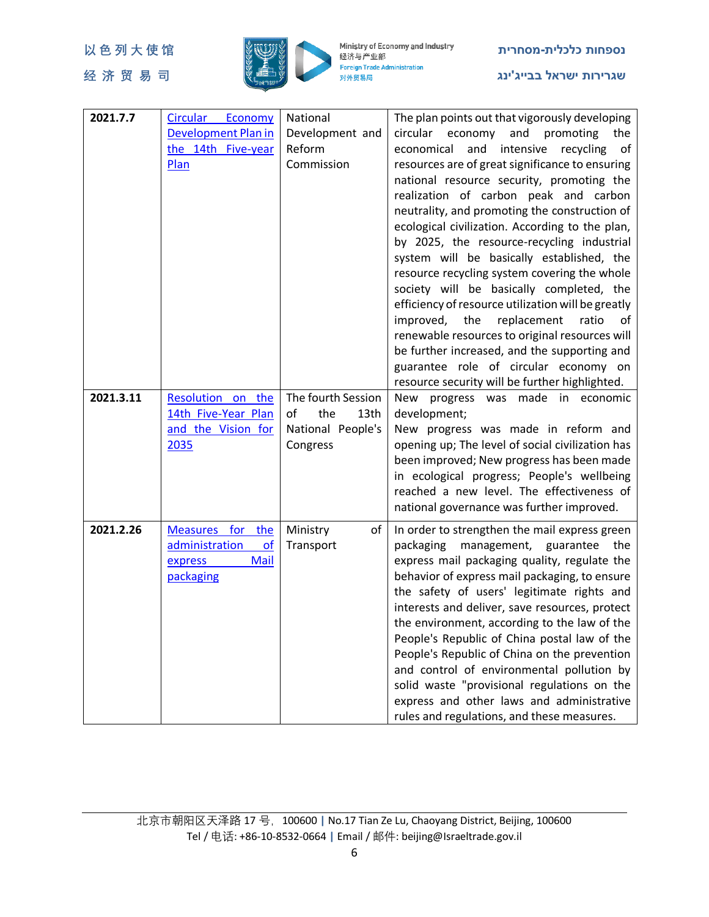

| 2021.7.7  | Circular Economy           | National           |                                                                                               |
|-----------|----------------------------|--------------------|-----------------------------------------------------------------------------------------------|
|           | <b>Development Plan in</b> | Development and    | The plan points out that vigorously developing<br>circular economy<br>and<br>promoting<br>the |
|           | the 14th Five-year         | Reform             | economical<br>and<br>intensive<br>recycling                                                   |
|           |                            | Commission         | of<br>resources are of great significance to ensuring                                         |
|           | Plan                       |                    | national resource security, promoting the                                                     |
|           |                            |                    |                                                                                               |
|           |                            |                    | realization of carbon peak and carbon                                                         |
|           |                            |                    | neutrality, and promoting the construction of                                                 |
|           |                            |                    | ecological civilization. According to the plan,                                               |
|           |                            |                    | by 2025, the resource-recycling industrial                                                    |
|           |                            |                    | system will be basically established, the                                                     |
|           |                            |                    | resource recycling system covering the whole                                                  |
|           |                            |                    | society will be basically completed, the                                                      |
|           |                            |                    | efficiency of resource utilization will be greatly                                            |
|           |                            |                    | improved, the<br>replacement<br>ratio<br>0f                                                   |
|           |                            |                    | renewable resources to original resources will                                                |
|           |                            |                    | be further increased, and the supporting and                                                  |
|           |                            |                    | guarantee role of circular economy on                                                         |
|           |                            |                    | resource security will be further highlighted.                                                |
| 2021.3.11 | Resolution on the          | The fourth Session | New<br>progress<br>was made in economic                                                       |
|           | 14th Five-Year Plan        | the<br>of<br>13th  | development;                                                                                  |
|           | and the Vision for         | National People's  | New progress was made in reform and                                                           |
|           | 2035                       | Congress           | opening up; The level of social civilization has                                              |
|           |                            |                    | been improved; New progress has been made                                                     |
|           |                            |                    | in ecological progress; People's wellbeing                                                    |
|           |                            |                    | reached a new level. The effectiveness of                                                     |
|           |                            |                    | national governance was further improved.                                                     |
| 2021.2.26 | Measures for the           | Ministry<br>of     | In order to strengthen the mail express green                                                 |
|           | administration<br>of       | Transport          | packaging<br>management, guarantee the                                                        |
|           | Mail<br>express            |                    | express mail packaging quality, regulate the                                                  |
|           | packaging                  |                    | behavior of express mail packaging, to ensure                                                 |
|           |                            |                    | the safety of users' legitimate rights and                                                    |
|           |                            |                    | interests and deliver, save resources, protect                                                |
|           |                            |                    | the environment, according to the law of the                                                  |
|           |                            |                    | People's Republic of China postal law of the                                                  |
|           |                            |                    | People's Republic of China on the prevention                                                  |
|           |                            |                    | and control of environmental pollution by                                                     |
|           |                            |                    | solid waste "provisional regulations on the                                                   |
|           |                            |                    | express and other laws and administrative                                                     |
|           |                            |                    | rules and regulations, and these measures.                                                    |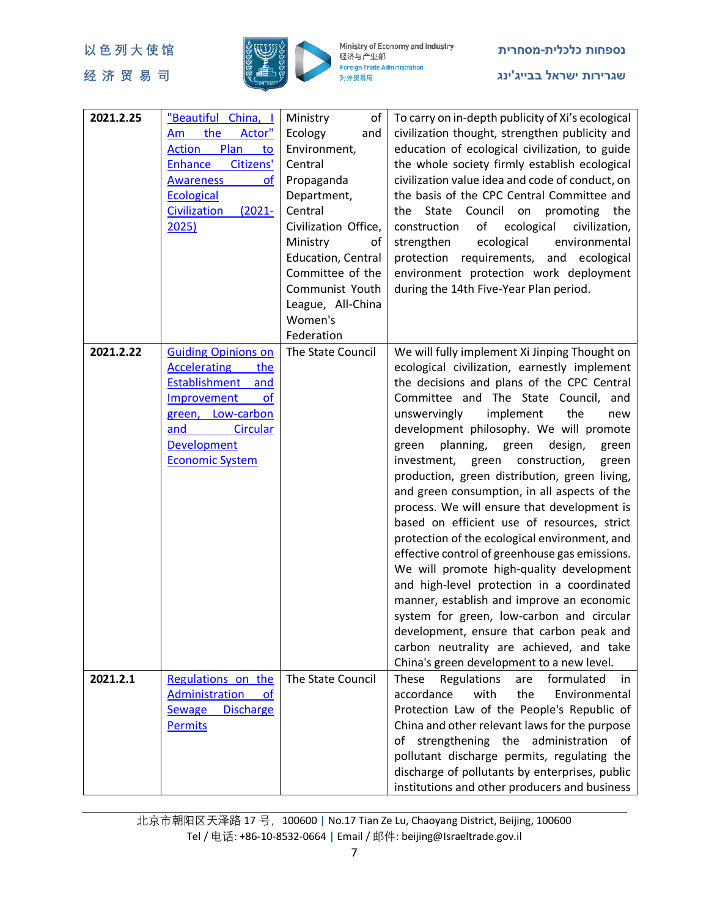

| 2021.2.25 | "Beautiful China, I<br>the<br>Actor"<br>Am<br>Plan<br><b>Action</b><br>to<br>Citizens'<br>Enhance<br><b>Awareness</b><br><b>of</b><br><b>Ecological</b><br>Civilization<br>$(2021 -$<br>2025)        | Ministry<br>of<br>Ecology<br>and<br>Environment,<br>Central<br>Propaganda<br>Department,<br>Central<br>Civilization Office,<br>Ministry<br>of<br>Education, Central<br>Committee of the<br>Communist Youth | To carry on in-depth publicity of Xi's ecological<br>civilization thought, strengthen publicity and<br>education of ecological civilization, to guide<br>the whole society firmly establish ecological<br>civilization value idea and code of conduct, on<br>the basis of the CPC Central Committee and<br>Council on<br>promoting<br>the State<br>the<br>of<br>ecological<br>construction<br>civilization,<br>ecological<br>strengthen<br>environmental<br>protection requirements, and ecological<br>environment protection work deployment<br>during the 14th Five-Year Plan period.                                                                                                                                                                                                                                                                                                                                                                                                                   |
|-----------|------------------------------------------------------------------------------------------------------------------------------------------------------------------------------------------------------|------------------------------------------------------------------------------------------------------------------------------------------------------------------------------------------------------------|-----------------------------------------------------------------------------------------------------------------------------------------------------------------------------------------------------------------------------------------------------------------------------------------------------------------------------------------------------------------------------------------------------------------------------------------------------------------------------------------------------------------------------------------------------------------------------------------------------------------------------------------------------------------------------------------------------------------------------------------------------------------------------------------------------------------------------------------------------------------------------------------------------------------------------------------------------------------------------------------------------------|
|           |                                                                                                                                                                                                      | League, All-China<br>Women's<br>Federation                                                                                                                                                                 |                                                                                                                                                                                                                                                                                                                                                                                                                                                                                                                                                                                                                                                                                                                                                                                                                                                                                                                                                                                                           |
| 2021.2.22 | <b>Guiding Opinions on</b><br><b>Accelerating</b><br>the<br><b>Establishment</b><br>and<br>Improvement<br>of<br>green, Low-carbon<br><b>Circular</b><br>and<br>Development<br><b>Economic System</b> | The State Council                                                                                                                                                                                          | We will fully implement Xi Jinping Thought on<br>ecological civilization, earnestly implement<br>the decisions and plans of the CPC Central<br>Committee and The State Council, and<br>unswervingly<br>implement<br>the<br>new<br>development philosophy. We will promote<br>green<br>planning,<br>green<br>design,<br>green<br>investment,<br>green<br>construction,<br>green<br>production, green distribution, green living,<br>and green consumption, in all aspects of the<br>process. We will ensure that development is<br>based on efficient use of resources, strict<br>protection of the ecological environment, and<br>effective control of greenhouse gas emissions.<br>We will promote high-quality development<br>and high-level protection in a coordinated<br>manner, establish and improve an economic<br>system for green, low-carbon and circular<br>development, ensure that carbon peak and<br>carbon neutrality are achieved, and take<br>China's green development to a new level. |
| 2021.2.1  | Regulations on the<br>Administration<br><b>of</b><br><b>Discharge</b><br><b>Sewage</b><br><b>Permits</b>                                                                                             | The State Council                                                                                                                                                                                          | These<br>Regulations<br>formulated<br>are<br>in<br>accordance<br>with<br>the<br>Environmental<br>Protection Law of the People's Republic of<br>China and other relevant laws for the purpose<br>of strengthening the administration of<br>pollutant discharge permits, regulating the<br>discharge of pollutants by enterprises, public<br>institutions and other producers and business                                                                                                                                                                                                                                                                                                                                                                                                                                                                                                                                                                                                                  |

北京市朝阳区天泽路 17 号,100600 **|** No.17 Tian Ze Lu, Chaoyang District, Beijing, 100600 Tel / 电话: +86-10-8532-0664 **|** Email / 邮件: beijing@Israeltrade.gov.il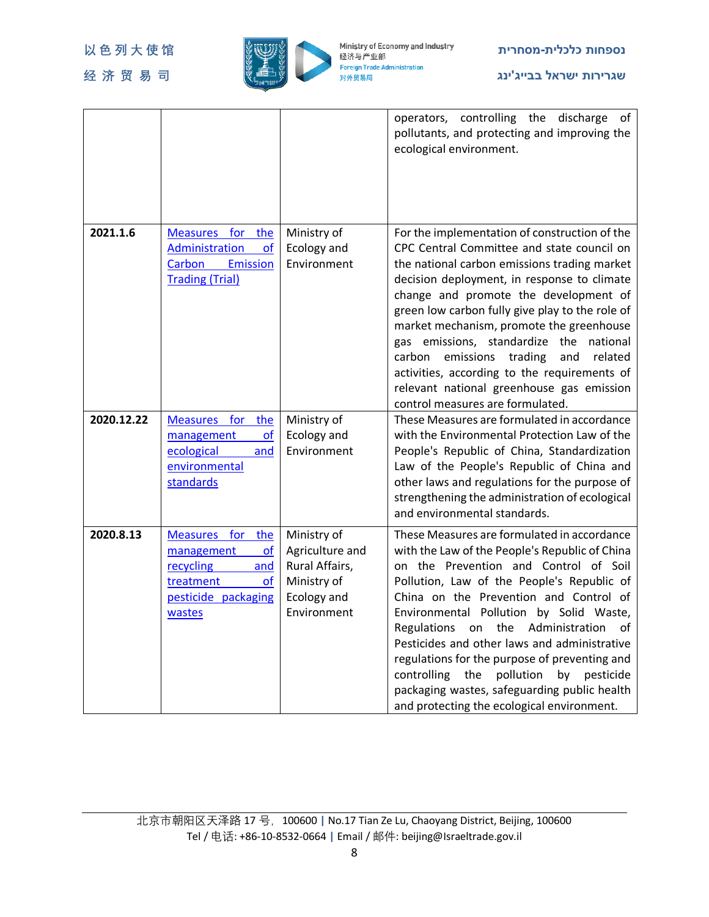

|            |                                                                                                                    |                                                                                               | operators, controlling the discharge<br>of<br>pollutants, and protecting and improving the<br>ecological environment.                                                                                                                                                                                                                                                                                                                                                                                                                                                                     |
|------------|--------------------------------------------------------------------------------------------------------------------|-----------------------------------------------------------------------------------------------|-------------------------------------------------------------------------------------------------------------------------------------------------------------------------------------------------------------------------------------------------------------------------------------------------------------------------------------------------------------------------------------------------------------------------------------------------------------------------------------------------------------------------------------------------------------------------------------------|
| 2021.1.6   | Measures for the<br>Administration<br>οf<br>Carbon<br>Emission<br><b>Trading (Trial)</b>                           | Ministry of<br>Ecology and<br>Environment                                                     | For the implementation of construction of the<br>CPC Central Committee and state council on<br>the national carbon emissions trading market<br>decision deployment, in response to climate<br>change and promote the development of<br>green low carbon fully give play to the role of<br>market mechanism, promote the greenhouse<br>gas emissions, standardize the national<br>carbon emissions trading<br>and<br>related<br>activities, according to the requirements of<br>relevant national greenhouse gas emission<br>control measures are formulated.                              |
| 2020.12.22 | <b>Measures</b><br>for<br>the<br>management<br>of<br>ecological<br>and<br>environmental<br>standards               | Ministry of<br>Ecology and<br>Environment                                                     | These Measures are formulated in accordance<br>with the Environmental Protection Law of the<br>People's Republic of China, Standardization<br>Law of the People's Republic of China and<br>other laws and regulations for the purpose of<br>strengthening the administration of ecological<br>and environmental standards.                                                                                                                                                                                                                                                                |
| 2020.8.13  | Measures for the<br>management<br>of<br>recycling<br>and<br>treatment<br>$\Omega$<br>pesticide packaging<br>wastes | Ministry of<br>Agriculture and<br>Rural Affairs,<br>Ministry of<br>Ecology and<br>Environment | These Measures are formulated in accordance<br>with the Law of the People's Republic of China<br>on the Prevention and Control of Soil<br>Pollution, Law of the People's Republic of<br>China on the Prevention and Control of<br>Environmental Pollution by Solid Waste,<br><b>Regulations</b><br>the<br>Administration<br>on<br>of<br>Pesticides and other laws and administrative<br>regulations for the purpose of preventing and<br>pollution<br>controlling<br>the<br>pesticide<br>by<br>packaging wastes, safeguarding public health<br>and protecting the ecological environment. |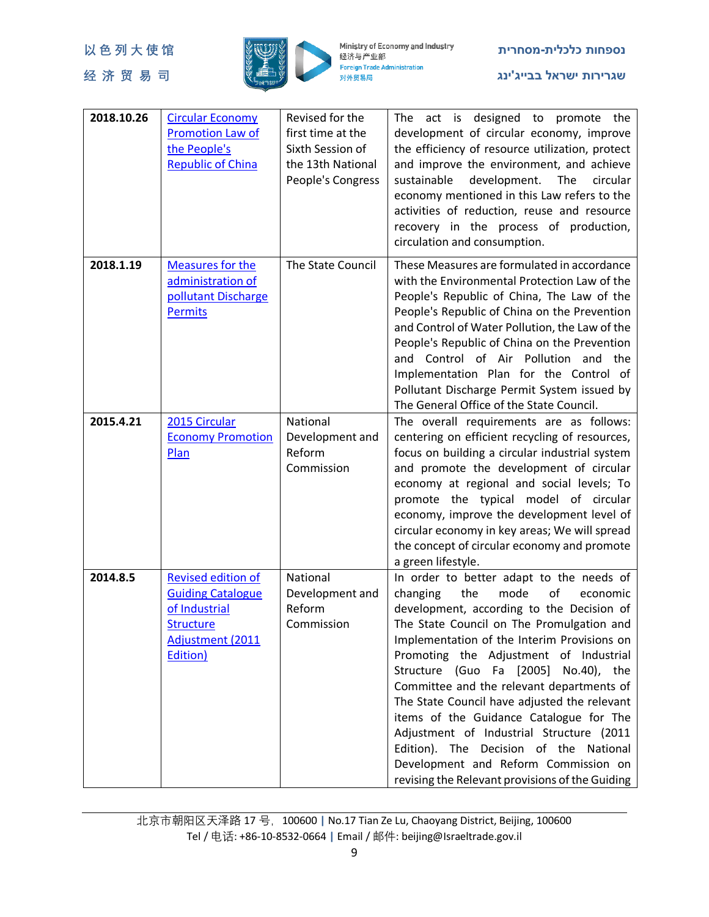

| 2018.10.26 | <b>Circular Economy</b>   | Revised for the   | The act is designed to promote the                                                 |
|------------|---------------------------|-------------------|------------------------------------------------------------------------------------|
|            | <b>Promotion Law of</b>   | first time at the | development of circular economy, improve                                           |
|            | the People's              | Sixth Session of  | the efficiency of resource utilization, protect                                    |
|            | <b>Republic of China</b>  | the 13th National | and improve the environment, and achieve                                           |
|            |                           | People's Congress | sustainable<br>development.<br>The<br>circular                                     |
|            |                           |                   | economy mentioned in this Law refers to the                                        |
|            |                           |                   | activities of reduction, reuse and resource                                        |
|            |                           |                   | recovery in the process of production,                                             |
|            |                           |                   | circulation and consumption.                                                       |
|            |                           |                   |                                                                                    |
| 2018.1.19  | <b>Measures for the</b>   | The State Council | These Measures are formulated in accordance                                        |
|            | administration of         |                   | with the Environmental Protection Law of the                                       |
|            | pollutant Discharge       |                   | People's Republic of China, The Law of the                                         |
|            | <b>Permits</b>            |                   | People's Republic of China on the Prevention                                       |
|            |                           |                   | and Control of Water Pollution, the Law of the                                     |
|            |                           |                   | People's Republic of China on the Prevention                                       |
|            |                           |                   | and Control of Air Pollution and the                                               |
|            |                           |                   | Implementation Plan for the Control of                                             |
|            |                           |                   | Pollutant Discharge Permit System issued by                                        |
|            |                           |                   | The General Office of the State Council.                                           |
| 2015.4.21  | 2015 Circular             | National          | The overall requirements are as follows:                                           |
|            | <b>Economy Promotion</b>  | Development and   | centering on efficient recycling of resources,                                     |
|            | Plan                      | Reform            | focus on building a circular industrial system                                     |
|            |                           | Commission        | and promote the development of circular                                            |
|            |                           |                   | economy at regional and social levels; To                                          |
|            |                           |                   | promote the typical model of circular                                              |
|            |                           |                   | economy, improve the development level of                                          |
|            |                           |                   | circular economy in key areas; We will spread                                      |
|            |                           |                   | the concept of circular economy and promote                                        |
|            |                           |                   | a green lifestyle.                                                                 |
| 2014.8.5   | <b>Revised edition of</b> | National          | In order to better adapt to the needs of                                           |
|            | <b>Guiding Catalogue</b>  | Development and   | the<br>mode<br>of<br>changing<br>economic                                          |
|            | of Industrial             | Reform            | development, according to the Decision of                                          |
|            | <b>Structure</b>          | Commission        | The State Council on The Promulgation and                                          |
|            | Adjustment (2011          |                   | Implementation of the Interim Provisions on                                        |
|            | Edition)                  |                   | Promoting the Adjustment of Industrial                                             |
|            |                           |                   | Structure (Guo Fa [2005] No.40), the                                               |
|            |                           |                   | Committee and the relevant departments of                                          |
|            |                           |                   | The State Council have adjusted the relevant                                       |
|            |                           |                   | items of the Guidance Catalogue for The                                            |
|            |                           |                   | Adjustment of Industrial Structure (2011<br>Edition). The Decision of the National |
|            |                           |                   |                                                                                    |
|            |                           |                   | Development and Reform Commission on                                               |
|            |                           |                   | revising the Relevant provisions of the Guiding                                    |

北京市朝阳区天泽路 17 号,100600 **|** No.17 Tian Ze Lu, Chaoyang District, Beijing, 100600 Tel / 电话: +86-10-8532-0664 **|** Email / 邮件: beijing@Israeltrade.gov.il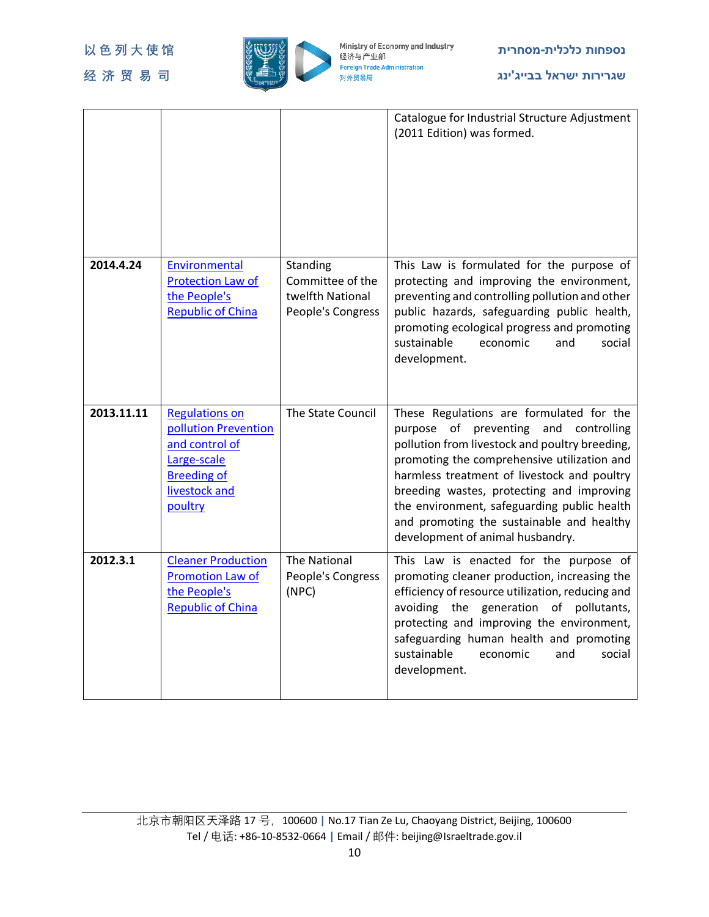

|            |                                                                                                                                  |                                                                       | Catalogue for Industrial Structure Adjustment<br>(2011 Edition) was formed.                                                                                                                                                                                                                                                                                                                                    |
|------------|----------------------------------------------------------------------------------------------------------------------------------|-----------------------------------------------------------------------|----------------------------------------------------------------------------------------------------------------------------------------------------------------------------------------------------------------------------------------------------------------------------------------------------------------------------------------------------------------------------------------------------------------|
| 2014.4.24  | Environmental<br><b>Protection Law of</b><br>the People's<br><b>Republic of China</b>                                            | Standing<br>Committee of the<br>twelfth National<br>People's Congress | This Law is formulated for the purpose of<br>protecting and improving the environment,<br>preventing and controlling pollution and other<br>public hazards, safeguarding public health,<br>promoting ecological progress and promoting<br>sustainable<br>economic<br>and<br>social<br>development.                                                                                                             |
| 2013.11.11 | <b>Regulations on</b><br>pollution Prevention<br>and control of<br>Large-scale<br><b>Breeding of</b><br>livestock and<br>poultry | The State Council                                                     | These Regulations are formulated for the<br>purpose of preventing and controlling<br>pollution from livestock and poultry breeding,<br>promoting the comprehensive utilization and<br>harmless treatment of livestock and poultry<br>breeding wastes, protecting and improving<br>the environment, safeguarding public health<br>and promoting the sustainable and healthy<br>development of animal husbandry. |
| 2012.3.1   | <b>Cleaner Production</b><br>Promotion Law of<br>the People's<br><b>Republic of China</b>                                        | The National<br>People's Congress<br>(NPC)                            | This Law is enacted for the purpose of<br>promoting cleaner production, increasing the<br>efficiency of resource utilization, reducing and<br>avoiding the generation of pollutants,<br>protecting and improving the environment,<br>safeguarding human health and promoting<br>sustainable<br>economic<br>and<br>social<br>development.                                                                       |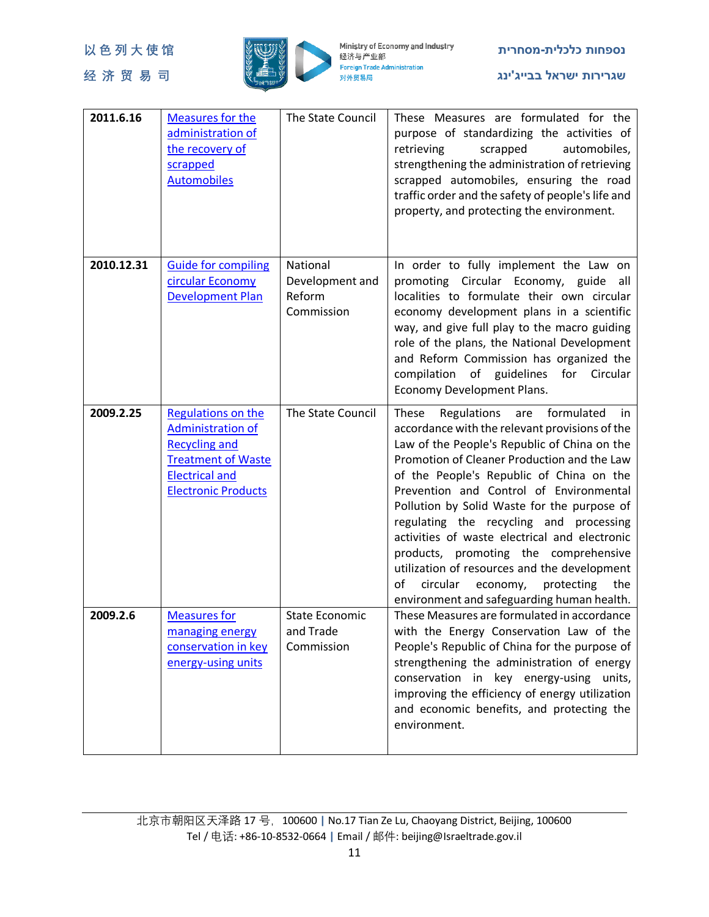

| 2011.6.16  | <b>Measures for the</b><br>administration of<br>the recovery of<br>scrapped<br><b>Automobiles</b>                                                          | The State Council                                   | These Measures are formulated for the<br>purpose of standardizing the activities of<br>retrieving<br>automobiles,<br>scrapped<br>strengthening the administration of retrieving<br>scrapped automobiles, ensuring the road<br>traffic order and the safety of people's life and<br>property, and protecting the environment.                                                                                                                                                                                                                                                                                                 |
|------------|------------------------------------------------------------------------------------------------------------------------------------------------------------|-----------------------------------------------------|------------------------------------------------------------------------------------------------------------------------------------------------------------------------------------------------------------------------------------------------------------------------------------------------------------------------------------------------------------------------------------------------------------------------------------------------------------------------------------------------------------------------------------------------------------------------------------------------------------------------------|
| 2010.12.31 | <b>Guide for compiling</b><br>circular Economy<br><b>Development Plan</b>                                                                                  | National<br>Development and<br>Reform<br>Commission | In order to fully implement the Law on<br>promoting Circular Economy, guide all<br>localities to formulate their own circular<br>economy development plans in a scientific<br>way, and give full play to the macro guiding<br>role of the plans, the National Development<br>and Reform Commission has organized the<br>compilation of guidelines<br>for<br>Circular<br>Economy Development Plans.                                                                                                                                                                                                                           |
| 2009.2.25  | Regulations on the<br><b>Administration of</b><br><b>Recycling and</b><br><b>Treatment of Waste</b><br><b>Electrical and</b><br><b>Electronic Products</b> | The State Council                                   | These<br>Regulations<br>formulated<br>are<br>in<br>accordance with the relevant provisions of the<br>Law of the People's Republic of China on the<br>Promotion of Cleaner Production and the Law<br>of the People's Republic of China on the<br>Prevention and Control of Environmental<br>Pollution by Solid Waste for the purpose of<br>regulating the recycling and processing<br>activities of waste electrical and electronic<br>products, promoting the comprehensive<br>utilization of resources and the development<br>circular<br>of<br>economy,<br>protecting<br>the<br>environment and safeguarding human health. |
| 2009.2.6   | <b>Measures for</b><br>managing energy<br>conservation in key<br>energy-using units                                                                        | <b>State Economic</b><br>and Trade<br>Commission    | These Measures are formulated in accordance<br>with the Energy Conservation Law of the<br>People's Republic of China for the purpose of<br>strengthening the administration of energy<br>conservation in key energy-using<br>units,<br>improving the efficiency of energy utilization<br>and economic benefits, and protecting the<br>environment.                                                                                                                                                                                                                                                                           |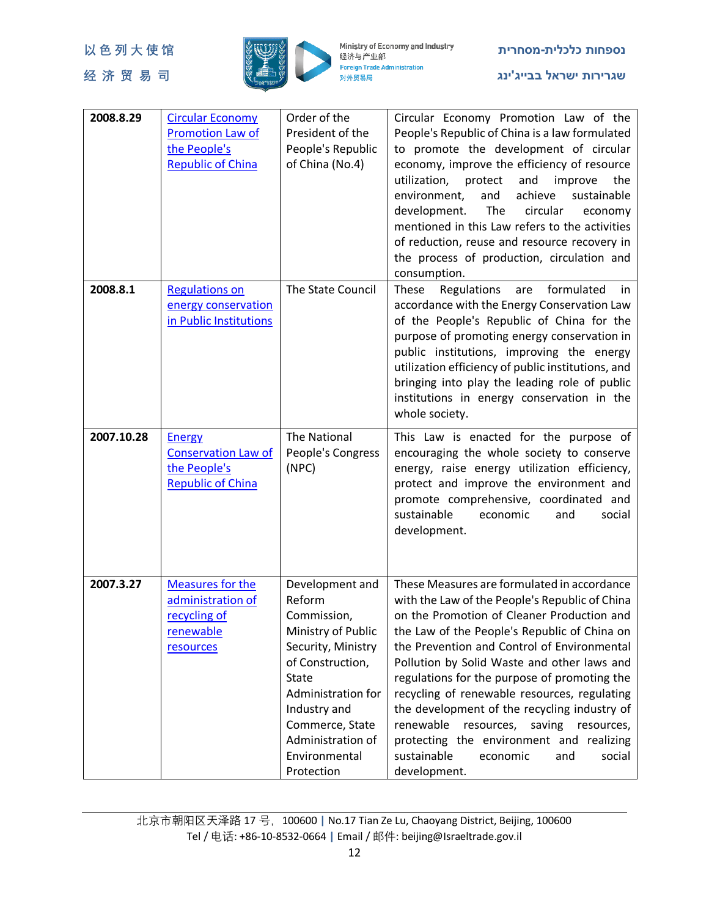

| 2008.8.29  | <b>Circular Economy</b><br><b>Promotion Law of</b><br>the People's<br><b>Republic of China</b> | Order of the<br>President of the<br>People's Republic<br>of China (No.4)                                                                                                                                                              | Circular Economy Promotion Law of the<br>People's Republic of China is a law formulated<br>to promote the development of circular<br>economy, improve the efficiency of resource<br>utilization,<br>protect<br>and<br>improve<br>the<br>and<br>achieve<br>environment,<br>sustainable<br>development.<br>The<br>circular<br>economy<br>mentioned in this Law refers to the activities<br>of reduction, reuse and resource recovery in<br>the process of production, circulation and<br>consumption.                                                                                                  |
|------------|------------------------------------------------------------------------------------------------|---------------------------------------------------------------------------------------------------------------------------------------------------------------------------------------------------------------------------------------|------------------------------------------------------------------------------------------------------------------------------------------------------------------------------------------------------------------------------------------------------------------------------------------------------------------------------------------------------------------------------------------------------------------------------------------------------------------------------------------------------------------------------------------------------------------------------------------------------|
| 2008.8.1   | <b>Regulations on</b><br>energy conservation<br>in Public Institutions                         | The State Council                                                                                                                                                                                                                     | formulated<br>Regulations<br>These<br>are<br>in<br>accordance with the Energy Conservation Law<br>of the People's Republic of China for the<br>purpose of promoting energy conservation in<br>public institutions, improving the energy<br>utilization efficiency of public institutions, and<br>bringing into play the leading role of public<br>institutions in energy conservation in the<br>whole society.                                                                                                                                                                                       |
| 2007.10.28 | <b>Energy</b><br><b>Conservation Law of</b><br>the People's<br><b>Republic of China</b>        | The National<br>People's Congress<br>(NPC)                                                                                                                                                                                            | This Law is enacted for the purpose of<br>encouraging the whole society to conserve<br>energy, raise energy utilization efficiency,<br>protect and improve the environment and<br>promote comprehensive, coordinated and<br>sustainable<br>economic<br>and<br>social<br>development.                                                                                                                                                                                                                                                                                                                 |
| 2007.3.27  | <b>Measures for the</b><br>administration of<br>recycling of<br>renewable<br>resources         | Development and<br>Reform<br>Commission,<br>Ministry of Public<br>Security, Ministry<br>of Construction,<br><b>State</b><br>Administration for<br>Industry and<br>Commerce, State<br>Administration of<br>Environmental<br>Protection | These Measures are formulated in accordance<br>with the Law of the People's Republic of China<br>on the Promotion of Cleaner Production and<br>the Law of the People's Republic of China on<br>the Prevention and Control of Environmental<br>Pollution by Solid Waste and other laws and<br>regulations for the purpose of promoting the<br>recycling of renewable resources, regulating<br>the development of the recycling industry of<br>renewable<br>resources,<br>saving<br>resources,<br>protecting the environment and realizing<br>sustainable<br>economic<br>and<br>social<br>development. |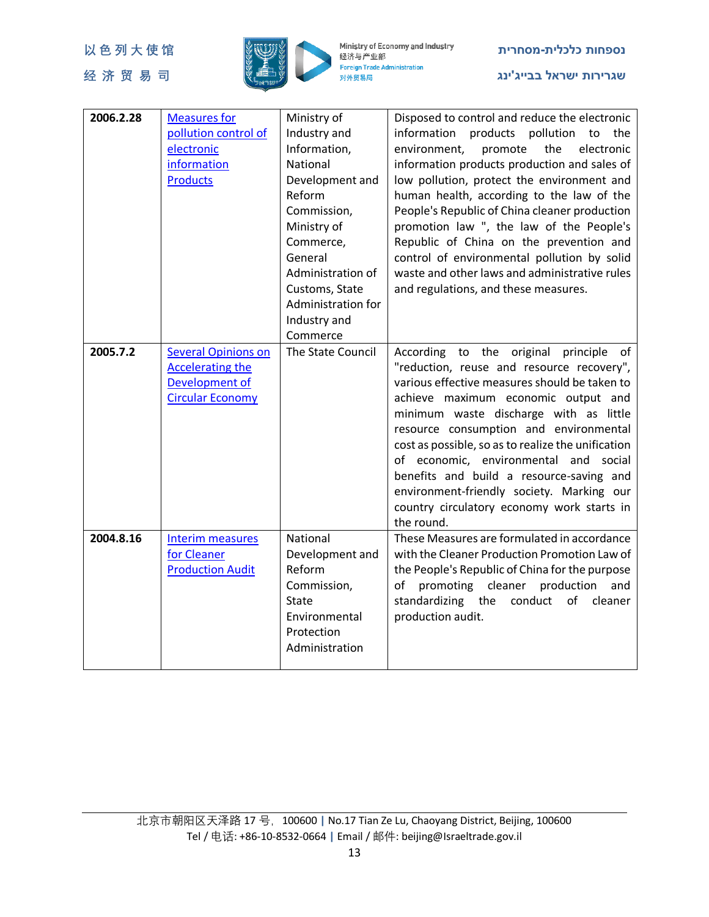

| 2006.2.28 | <b>Measures for</b>        | Ministry of        | Disposed to control and reduce the electronic      |
|-----------|----------------------------|--------------------|----------------------------------------------------|
|           | pollution control of       | Industry and       | information products pollution to the              |
|           | electronic                 | Information,       | environment,<br>the<br>electronic<br>promote       |
|           | information                | National           | information products production and sales of       |
|           | <b>Products</b>            | Development and    | low pollution, protect the environment and         |
|           |                            | Reform             | human health, according to the law of the          |
|           |                            | Commission,        | People's Republic of China cleaner production      |
|           |                            | Ministry of        |                                                    |
|           |                            |                    | promotion law ", the law of the People's           |
|           |                            | Commerce,          | Republic of China on the prevention and            |
|           |                            | General            | control of environmental pollution by solid        |
|           |                            | Administration of  | waste and other laws and administrative rules      |
|           |                            | Customs, State     | and regulations, and these measures.               |
|           |                            | Administration for |                                                    |
|           |                            | Industry and       |                                                    |
|           |                            | Commerce           |                                                    |
| 2005.7.2  | <b>Several Opinions on</b> | The State Council  | According to the original principle of             |
|           | <b>Accelerating the</b>    |                    | "reduction, reuse and resource recovery",          |
|           | Development of             |                    | various effective measures should be taken to      |
|           | <b>Circular Economy</b>    |                    | achieve maximum economic output and                |
|           |                            |                    | minimum waste discharge with as little             |
|           |                            |                    | resource consumption and environmental             |
|           |                            |                    | cost as possible, so as to realize the unification |
|           |                            |                    | of economic, environmental and social              |
|           |                            |                    | benefits and build a resource-saving and           |
|           |                            |                    | environment-friendly society. Marking our          |
|           |                            |                    | country circulatory economy work starts in         |
|           |                            |                    | the round.                                         |
| 2004.8.16 | <b>Interim measures</b>    | National           | These Measures are formulated in accordance        |
|           | for Cleaner                | Development and    | with the Cleaner Production Promotion Law of       |
|           | <b>Production Audit</b>    | Reform             | the People's Republic of China for the purpose     |
|           |                            | Commission,        | promoting cleaner<br>production<br>of<br>and       |
|           |                            | <b>State</b>       | standardizing the conduct of<br>cleaner            |
|           |                            | Environmental      | production audit.                                  |
|           |                            | Protection         |                                                    |
|           |                            | Administration     |                                                    |
|           |                            |                    |                                                    |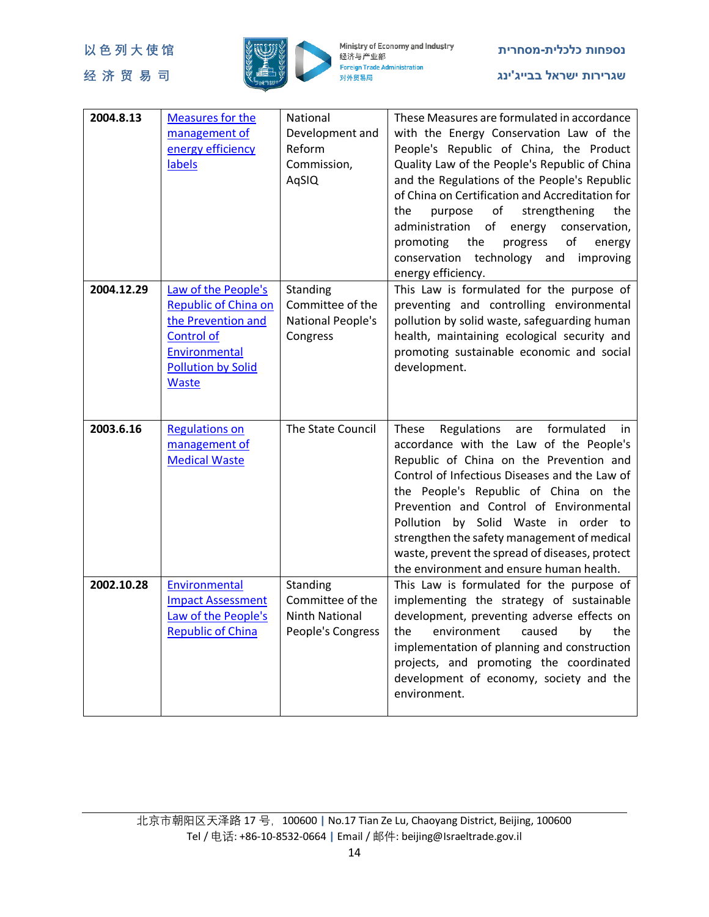

| 2004.8.13  | <b>Measures for the</b><br>management of<br>energy efficiency<br>labels                                                                                     | National<br>Development and<br>Reform<br>Commission,<br>AqSIQ              | These Measures are formulated in accordance<br>with the Energy Conservation Law of the<br>People's Republic of China, the Product<br>Quality Law of the People's Republic of China<br>and the Regulations of the People's Republic<br>of China on Certification and Accreditation for<br>the<br>of<br>strengthening<br>the<br>purpose<br>administration<br>of<br>energy<br>conservation,<br>promoting<br>the<br>of<br>progress<br>energy<br>conservation<br>technology and<br>improving<br>energy efficiency. |
|------------|-------------------------------------------------------------------------------------------------------------------------------------------------------------|----------------------------------------------------------------------------|---------------------------------------------------------------------------------------------------------------------------------------------------------------------------------------------------------------------------------------------------------------------------------------------------------------------------------------------------------------------------------------------------------------------------------------------------------------------------------------------------------------|
| 2004.12.29 | Law of the People's<br><b>Republic of China on</b><br>the Prevention and<br><b>Control of</b><br>Environmental<br><b>Pollution by Solid</b><br><b>Waste</b> | Standing<br>Committee of the<br>National People's<br>Congress              | This Law is formulated for the purpose of<br>preventing and controlling environmental<br>pollution by solid waste, safeguarding human<br>health, maintaining ecological security and<br>promoting sustainable economic and social<br>development.                                                                                                                                                                                                                                                             |
| 2003.6.16  | <b>Regulations on</b><br>management of<br><b>Medical Waste</b>                                                                                              | The State Council                                                          | Regulations<br>formulated<br>These<br>are<br>in<br>accordance with the Law of the People's<br>Republic of China on the Prevention and<br>Control of Infectious Diseases and the Law of<br>the People's Republic of China on the<br>Prevention and Control of Environmental<br>Pollution by Solid Waste in order to<br>strengthen the safety management of medical<br>waste, prevent the spread of diseases, protect<br>the environment and ensure human health.                                               |
| 2002.10.28 | Environmental<br><b>Impact Assessment</b><br>Law of the People's<br><b>Republic of China</b>                                                                | Standing<br>Committee of the<br><b>Ninth National</b><br>People's Congress | This Law is formulated for the purpose of<br>implementing the strategy of sustainable<br>development, preventing adverse effects on<br>the<br>environment<br>caused<br>by<br>the<br>implementation of planning and construction<br>projects, and promoting the coordinated<br>development of economy, society and the<br>environment.                                                                                                                                                                         |